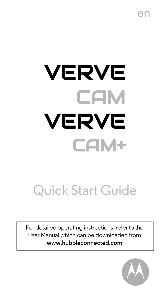en

# VERVE **CAM** VERVE CAM+

## Quick Start Guide

For detailed operating instructions, referto the User Manual which can be downloaded from **www.hubbleconnected.com**

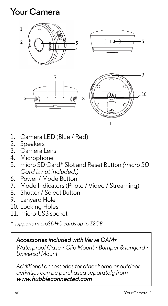## **Your Camera**



- 1. Camera LED (Blue / Red)
- 2. Speakers
- 3. Camera Lens
- 4. Microphone
- 5. micro SD Card\* Slot and Reset Button *(micro SD Card is not included.)*
- 6. Power / Mode Button
- 7. Mode Indicators (Photo / Video / Streaming)
- 8. Shutter / Select Button
- 9. Lanyard Hole
- 10. Locking Holes
- 11. micro-USB socket

\* *supports microSDHC cards up to 32GB.*

#### *Accessories included with Verve CAM+*

*Waterproof Case • Clip Mount • Bumper & lanyard • Universal Mount*

*Additional accessories for other home or outdoor activities can be purchased separately from*  **www***.***hubbleconnected.com**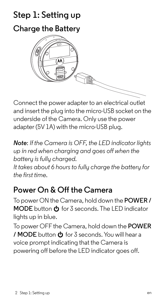## **Step 1: Setting up**





Connect the power adapter to an electrical outlet and insert the plug into the micro-USB socket on the underside of the Camera. Only use the power adapter (5V 1A) with the micro-USB plug.

*Note*: *If the Camera is OFF, the LED indicator lights up in red when charging and goes off when the battery is fully charged.*

*It takes about 6 hours to fully charge the battery for the first time.*

## **Power On & Off the Camera**

To power ON the Camera, hold down the **POWER / MODE** button  $\Phi$  for 3 seconds. The LED indicator lights up in blue.

To power OFF the Camera, hold down the **POWER / MODE** button  $\Phi$  for 3 seconds. You will hear a voice prompt indicating that the Camera is powering off before the LED indicator goes off.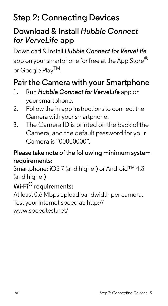## **Step 2: Connecting Devices**

## **Download & Install** *Hubble Connect for VerveLife* **app**

Download & Install *Hubble Connect forVerveLife* app on your smartphone for free at the App Store<sup>®</sup> or Google Play<sup>TM</sup>.

## **Pair the Camera with your Smartphone**

- 1. Run *Hubble Connect forVerveLife* app on your smartphone.
- 2. Follow the in-app instructions to connect the Camera with your smartphone.
- 3. The Camera ID is printed on the back of the Camera, and the default password for your Camera is "00000000".

#### **Please take note of the following minimum system requirements:**

Smartphone: iOS 7 (and higher) or Android™ 4.3 (and higher)

#### **Wi-Fi® requirements:**

At least 0.6 Mbps upload bandwidth per camera. Test your Internet speed at: http:// www.speedtest.net/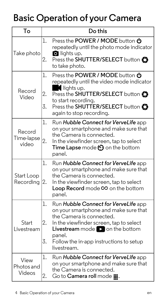## **Basic Operation of your Camera**

| Тο                            | Do this                                                                                                                                                                                                                                                                                             |
|-------------------------------|-----------------------------------------------------------------------------------------------------------------------------------------------------------------------------------------------------------------------------------------------------------------------------------------------------|
| Take photo                    | Press the POWER / MODE button $\Phi$<br>1.<br>repeatedly until the photo mode indicator<br><b>O</b> lights up.<br>Press the SHUTTER/SELECT button<br>2.<br>to take photo.                                                                                                                           |
| Record<br>Video               | Press the POWER / MODE button <b>(b)</b><br>1.<br>repeatedly until the video mode indicator<br>$\blacksquare$ lights up.<br>2.<br>Press the SHUTTER/SELECT button<br>to start recording.<br>3.<br>Press the SHUTTER/SELECT button<br>again to stop recording.                                       |
| Record<br>Time-lapse<br>video | 1.<br>Run Hubble Connect for VerveLife app<br>on your smartphone and make sure that<br>the Camera is connected.<br>2.<br>In the viewfinder screen, tap to select<br>Time Lapse mode (?) on the bottom<br>panel.                                                                                     |
| Start Loop<br>Recordina       | 1.<br>Run Hubble Connect for VerveLife app<br>on your smartphone and make sure that<br>the Camera is connected.<br>In the viewfinder screen, tap to select<br>2.<br>Loop Record mode CO on the bottom<br>panel.                                                                                     |
| Start<br>Livestream           | 1.<br>Run Hubble Connect for VerveLife app<br>on your smartphone and make sure that<br>the Camera is connected.<br>2.<br>In the viewfinder screen, tap to select<br><b>Livestream</b> mode $\triangleright$ on the bottom<br>panel.<br>3.<br>Follow the in-app instructions to setup<br>livestream. |
| View<br>Photos and<br>Videos  | 1.<br>Run Hubble Connect for VerveLife app<br>on your smartphone and make sure that<br>the Camera is connected.<br>2.<br>Go to Camera roll mode III.                                                                                                                                                |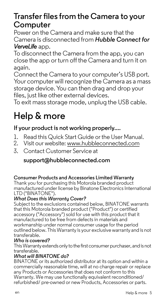### **Transfer files from the Camera to your Computer**

Power on the Camera and make sure that the Camera is disconnected from *Hubble Connect for VerveLife* app.

To disconnect the Camera from the app, you can close the app or turn off the Camera and turn it on again.

Connect the Camera to your computer's USB port. Your computer will recognize the Camera as a mass storage device. You can then drag and drop your files, just like other external devices.

To exit mass storage mode, unplug the USB cable.

## **Help & more**

#### **If your product is not working properly....**

- 1. Read this Quick Start Guide or the User Manual.<br>2. Visit our website: www.bubbleconnected.com
- 2. Visit our website: www.hubbleconnected.com
- 3. Contact Customer Service at

#### **support@hubbleconnected.com**

#### **Consumer Products and Accessories Limited Warranty**

Thank you for purchasing this Motorola branded product manufactured under license by Binatone Electronics International LTD ("BINATONE").

#### *What Does this Warranty Cover?*

Subject to the exclusions contained below, BINATONE warrants that this Motorola branded product ("Product") or certified accessory ("Accessory") sold for use with this product that it manufactured to be free from defects in materials and workmanship under normal consumer usage for the period outlined below. This Warranty is your exclusive warranty and is not transferable.

#### *Who is covered?*

This Warranty extends only to the first consumer purchaser, and is not transferable.

#### *What will BINATONE do?*

BINATONE or its authorized distributor at its option and within a commercially reasonable time, will at no charge repair or replace any Products or Accessories that does not conform to this Warranty. We may use functionally equivalent reconditioned/ refurbished/ pre-owned or new Products, Accessories or parts.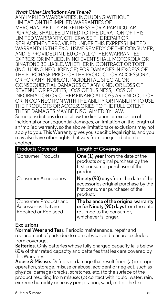#### *What Other Limitations Are There?*

ANY IMPLIED WARRANTIES, INCLUDING WITHOUT LIMITATION THE IMPLIED WARRANTIES OF MERCHANTARILITY AND FITNESS FOR A PARTICULAR PURPOSE, SHALL BE LIMITED TO THE DURATION OF THIS LIMITED WARRANTY, OTHERWISE THE REPAIR OR REPLACEMENT PROVIDED UNDER THIS EXPRESS LIMITED WARRANTY IS THE EXCLUSIVE REMEDY OF THE CONSUMER. AND IS PROVIDED IN LIELLOE ALL OTHER WARRANTIES EXPRESS OR IMPLIED. IN NO EVENT SHALL MOTOROLA OR BINATONE BE LIABLE, WHETHER IN CONTRACT OR TORT (INCLUDING NEGLIGENCE) FOR DAMAGES IN EXCESS OF THE PURCHASE PRICE OF THE PRODUCT OR ACCESSORY, OR FOR ANY INDIRECT, INCIDENTAL, SPECIAL OR CONSEQUENTIAL DAMAGES OF ANY KIND, OR LOSS OF REVENUE OR PROFITS, LOSS OF BUSINESS, LOSS OF INFORMATION OR OTHER FINANCIAL LOSS ARISING OUT OF OR IN CONNECTION WITH THE ABILITY OR INABILITY TO LISE THE PRODUCTS OR ACCESSORIES TO THE FULL EXTENT THESE DAMAGES MAY BE DISCLAIMED BY LAW. Some jurisdictions do not allow the limitation or exclusion of incidental or consequential damages, or limitation on the length of an implied warranty, so the above limitations or exclusions may not apply to you. This Warranty gives you specific legal rights, and you may also have other rights that vary from one jurisdiction to another.

| <b>Products Covered</b>                                               | <b>Length of Coverage</b>                                                                                                          |
|-----------------------------------------------------------------------|------------------------------------------------------------------------------------------------------------------------------------|
| Consumer Products                                                     | One (1) year from the date of the<br>products original purchase by the<br>first consumer purchaser of the<br>product.              |
| Consumer Accessories                                                  | Ninety (90) days from the date of the<br>accessories original purchase by the<br>first consumer purchaser of the<br>product.       |
| Consumer Products and<br>Accessories that are<br>Repaired or Replaced | The balance of the original warranty<br>or for Ninety (90) days from the date<br>returned to the consumer,<br>whichever is longer. |

#### **Exclusions**

**Normal Wear and Tear.** Periodic maintenance, repair and replacement of parts due to normal wear and tear are excluded from coverage.

**Batteries.** Only batteries whose fully charged capacity falls below 80% of their rated capacity and batteries that leak are covered by this Warranty.

**Abuse & Misuse.** Defects or damage that result from: (a) improper operation, storage, misuse or abuse, accident or neglect, such as physical damage (cracks, scratches, etc.) to the surface of the product resulting from misuse; (b) contact with liquid, water, rain, extreme humidity or heavy perspiration, sand, dirt or the like,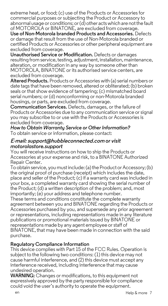extreme heat, or food; (c) use of the Products or Accessories for commercial purposes or subjecting the Product or Accessory to abnormal usage or conditions; or(d) other acts which are not the fault of MOTOROLA or BINATONE, are excluded from coverage.

**Use of Non-Motorola branded Products and Accessories.** Defects or damage that result from the use of Non-Motorola branded or certified Products or Accessories or other peripheral equipment are excluded from coverage.

**Unauthorised Service or Modification.** Defects or damages resulting from service, testing, adjustment, installation, maintenance, alteration, or modification in any way by someone other than MOTOROLA, BINATONE or its authorised service centers, are excluded from coverage.

**Altered Products.** Products or Accessories with (a) serial numbers or date tagsthat have been removed, altered or obliterated; (b) broken seals or that show evidence of tampering; (c) mismatched board serial numbers; or (d) nonconforming or non-Motorola branded housings, or parts, are excluded from coverage.

**Communication Services.** Defects, damages, or the failure of Products or Accessories due to any communication service or signal you may subscribe to or use with the Products or Accessories is excluded from coverage.

*How to Obtain Warranty Service or Other Information?* To obtain service or information, please contact:

#### **E-mail: support@hubbleconnected.com** *or visit motorolastore.support*

You will receive instructions on how to ship the Products or Accessories at your expense and risk, to a BINATONE Authorized Repair Center.

To obtain service, you mustinclude: (a) the Product or Accessory; (b) the original proof of purchase (receipt) which includes the date, place and seller of the Product; (c) if a warranty card was included in your box, a completed warranty card showing the serial number of the Product; (d) a written description of the problem; and, most importantly; (e) your address and telephone number.

These terms and conditions constitute the complete warranty agreement between you and BINATONE regarding the Products or Accessories purchased by you, and supersede any prior agreement or representations, including representations made in any literature publications or promotional materials issued by BINATONE or representations made by any agent employee orstaff of BINATONE, that may have been made in connection with the said purchase.

#### **Regulatory Compliance Information**

This device complies with Part 15 of the FCC Rules. Operation is subject to the following two conditions: (1) this device may not cause harmful interference, and (2) this device must accept any interference received, including interference that may cause undesired operation.

**WARNING:** Changes or modifications, to this equipment not expressively approved by the party responsible for compliance could void the user's authority to operate the equipment.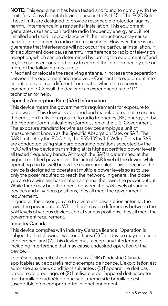**NOTE:** This equipment has been tested and found to comply with the limits for a Class B digital device, pursuant to Part 15 of the FCC Rules. These limits are designed to provide reasonable protection against harmful interference in a residential installation. This equipment generates, uses and can radiate radio frequency energy and, if not installed and used in accordance with the instructions, may cause harmful interference to radio communications. However, there is no guarantee that interference will not occur in a particular installation. If this equipment does cause harmful interference to radio or television reception, which can be determined by turning the equipment off and on, the user is encouraged to try to correct the interference by one or more of the following measures:

• Reorient or relocate the receiving antenna. • Increase the separation between the equipment and receiver. • Connect the equipment into an outlet on a circuit different from that to which the receiver is connected. • Consult the dealer or an experienced radio/TV technician for help.

#### **Specific Absorption Rate (SAR) Information**

This device meets the government's requirements for exposure to radio waves. This device is designed and manufactured not to exceed the emission limits for exposure to radio frequency (RF) energy set by the Federal Communications Commission of the U.S. Government. The exposure standard for wireless devices employs a unit of measurement known as the Specific Absorption Rate, or SAR. The SAR limit set by the FCC / by the RSS-102 is 1.6 W/kg. Tests for SAR are conducted using standard operating positions accepted by the FCC with the device transmitting at its highest certified power level in all tested frequency bands. Although the SAR is determined at the highest certified power level, the actual SAR level of the device while operating can be well below the maximum value. This is because the device is designed to operate at multiple power levels so as to use only the poser required to reach the network. In general, the closer you are to a wireless base station antenna, the lower the power output. While there may be differences between the SAR levels of various devices and at various positions, they all meet the government requirement.

In general, the closer you are to a wireless base station antenna, the lower the power output. While there may be differences between the SAR levels of various devices and at various positions, they all meet the government requirement.

#### **Industry Canada**

This device complies with Industry Canada licence. Operation is subject to the following two conditions: (1) This device may not cause interference, and (2) This device must accept any interference, including interference that may cause undesired operation of the device.

Le présent appareil est conforme aux CNR d'Industrie Canada applicables aux appareils radio exempts de licence. L'exploitation est autorisée aux deux conditions suivantes : (1) l'appareil ne doit pas produire de brouillage, et (2) l'utilisateur de l'appareil doit accepter tout brouillage radioélectrique subi, même si le brouillage est susceptible d'en compromettre le fonctionnement.